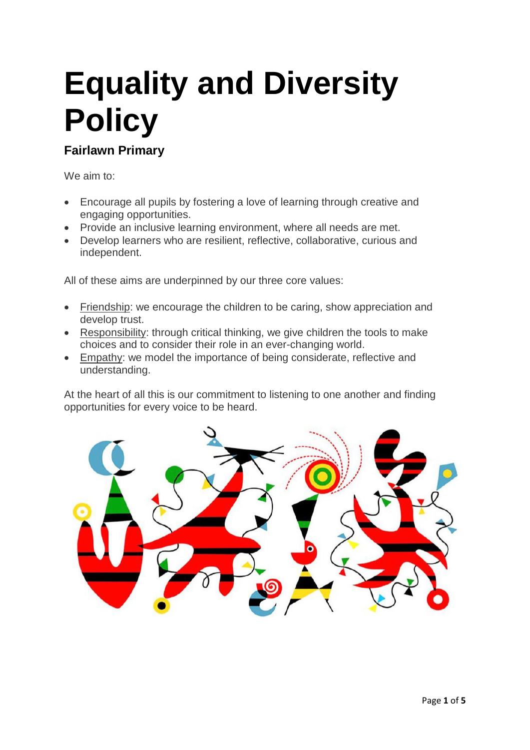# **Equality and Diversity Policy**

## **Fairlawn Primary**

We aim to:

- Encourage all pupils by fostering a love of learning through creative and engaging opportunities.
- Provide an inclusive learning environment, where all needs are met.
- Develop learners who are resilient, reflective, collaborative, curious and independent.

All of these aims are underpinned by our three core values:

- Friendship: we encourage the children to be caring, show appreciation and develop trust.
- Responsibility: through critical thinking, we give children the tools to make choices and to consider their role in an ever-changing world.
- Empathy: we model the importance of being considerate, reflective and understanding.

At the heart of all this is our commitment to listening to one another and finding opportunities for every voice to be heard.

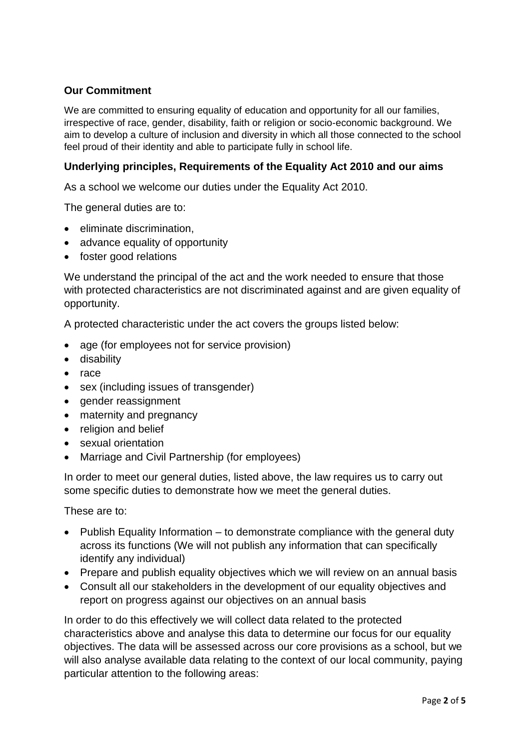#### **Our Commitment**

We are committed to ensuring equality of education and opportunity for all our families, irrespective of race, gender, disability, faith or religion or socio-economic background. We aim to develop a culture of inclusion and diversity in which all those connected to the school feel proud of their identity and able to participate fully in school life.

#### **Underlying principles, Requirements of the Equality Act 2010 and our aims**

As a school we welcome our duties under the Equality Act 2010.

The general duties are to:

- eliminate discrimination,
- advance equality of opportunity
- foster good relations

We understand the principal of the act and the work needed to ensure that those with protected characteristics are not discriminated against and are given equality of opportunity.

A protected characteristic under the act covers the groups listed below:

- age (for employees not for service provision)
- disability
- race
- sex (including issues of transgender)
- gender reassignment
- maternity and pregnancy
- religion and belief
- sexual orientation
- Marriage and Civil Partnership (for employees)

In order to meet our general duties, listed above, the law requires us to carry out some specific duties to demonstrate how we meet the general duties.

These are to:

- Publish Equality Information to demonstrate compliance with the general duty across its functions (We will not publish any information that can specifically identify any individual)
- Prepare and publish equality objectives which we will review on an annual basis
- Consult all our stakeholders in the development of our equality objectives and report on progress against our objectives on an annual basis

In order to do this effectively we will collect data related to the protected characteristics above and analyse this data to determine our focus for our equality objectives. The data will be assessed across our core provisions as a school, but we will also analyse available data relating to the context of our local community, paying particular attention to the following areas: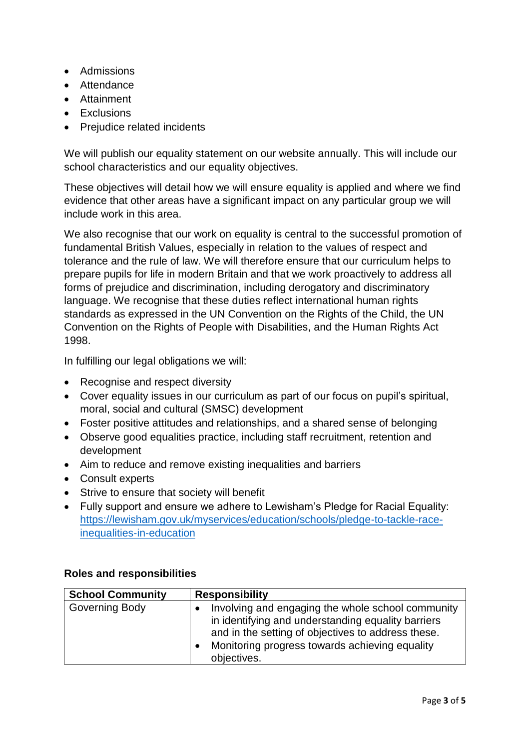- Admissions
- Attendance
- Attainment
- Exclusions
- Prejudice related incidents

We will publish our equality statement on our website annually. This will include our school characteristics and our equality objectives.

These objectives will detail how we will ensure equality is applied and where we find evidence that other areas have a significant impact on any particular group we will include work in this area.

We also recognise that our work on equality is central to the successful promotion of fundamental British Values, especially in relation to the values of respect and tolerance and the rule of law. We will therefore ensure that our curriculum helps to prepare pupils for life in modern Britain and that we work proactively to address all forms of prejudice and discrimination, including derogatory and discriminatory language. We recognise that these duties reflect international human rights standards as expressed in the UN Convention on the Rights of the Child, the UN Convention on the Rights of People with Disabilities, and the Human Rights Act 1998.

In fulfilling our legal obligations we will:

- Recognise and respect diversity
- Cover equality issues in our curriculum as part of our focus on pupil's spiritual, moral, social and cultural (SMSC) development
- Foster positive attitudes and relationships, and a shared sense of belonging
- Observe good equalities practice, including staff recruitment, retention and development
- Aim to reduce and remove existing inequalities and barriers
- Consult experts
- Strive to ensure that society will benefit
- Fully support and ensure we adhere to Lewisham's Pledge for Racial Equality: [https://lewisham.gov.uk/myservices/education/schools/pledge-to-tackle-race](https://lewisham.gov.uk/myservices/education/schools/pledge-to-tackle-race-inequalities-in-education)[inequalities-in-education](https://lewisham.gov.uk/myservices/education/schools/pledge-to-tackle-race-inequalities-in-education)

| <b>School Community</b> | <b>Responsibility</b>                                                                                                                                                                                                          |
|-------------------------|--------------------------------------------------------------------------------------------------------------------------------------------------------------------------------------------------------------------------------|
| Governing Body          | Involving and engaging the whole school community<br>in identifying and understanding equality barriers<br>and in the setting of objectives to address these.<br>Monitoring progress towards achieving equality<br>objectives. |

#### **Roles and responsibilities**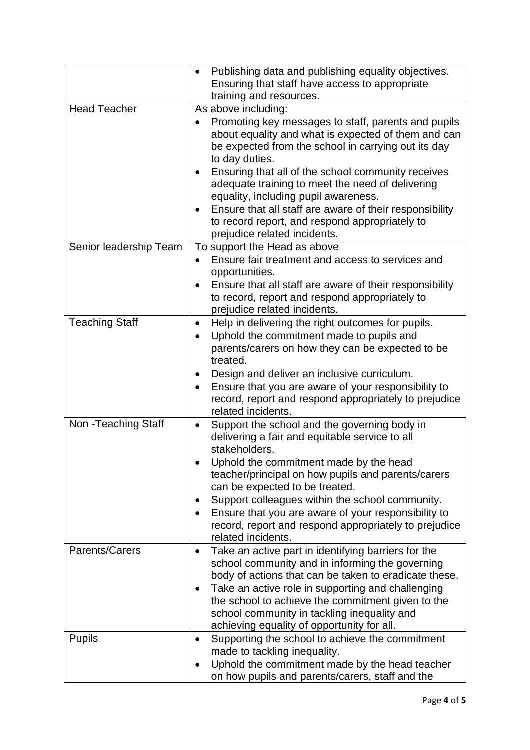|                        | Publishing data and publishing equality objectives.<br>$\bullet$<br>Ensuring that staff have access to appropriate<br>training and resources.                                                                                                                                                                                                                                                                                                                             |
|------------------------|---------------------------------------------------------------------------------------------------------------------------------------------------------------------------------------------------------------------------------------------------------------------------------------------------------------------------------------------------------------------------------------------------------------------------------------------------------------------------|
| <b>Head Teacher</b>    | As above including:<br>Promoting key messages to staff, parents and pupils<br>about equality and what is expected of them and can<br>be expected from the school in carrying out its day<br>to day duties.<br>Ensuring that all of the school community receives<br>adequate training to meet the need of delivering<br>equality, including pupil awareness.<br>Ensure that all staff are aware of their responsibility<br>to record report, and respond appropriately to |
| Senior leadership Team | prejudice related incidents.<br>To support the Head as above<br>Ensure fair treatment and access to services and<br>opportunities.<br>Ensure that all staff are aware of their responsibility<br>$\bullet$<br>to record, report and respond appropriately to<br>prejudice related incidents.                                                                                                                                                                              |
| <b>Teaching Staff</b>  | Help in delivering the right outcomes for pupils.<br>٠<br>Uphold the commitment made to pupils and<br>parents/carers on how they can be expected to be<br>treated.<br>Design and deliver an inclusive curriculum.<br>Ensure that you are aware of your responsibility to<br>$\bullet$<br>record, report and respond appropriately to prejudice<br>related incidents.                                                                                                      |
| Non - Teaching Staff   | Support the school and the governing body in<br>$\bullet$<br>delivering a fair and equitable service to all<br>stakeholders.<br>Uphold the commitment made by the head<br>teacher/principal on how pupils and parents/carers<br>can be expected to be treated.<br>Support colleagues within the school community.<br>Ensure that you are aware of your responsibility to<br>$\bullet$<br>record, report and respond appropriately to prejudice<br>related incidents.      |
| Parents/Carers         | Take an active part in identifying barriers for the<br>$\bullet$<br>school community and in informing the governing<br>body of actions that can be taken to eradicate these.<br>Take an active role in supporting and challenging<br>the school to achieve the commitment given to the<br>school community in tackling inequality and<br>achieving equality of opportunity for all.                                                                                       |
| <b>Pupils</b>          | Supporting the school to achieve the commitment<br>$\bullet$<br>made to tackling inequality.<br>Uphold the commitment made by the head teacher<br>$\bullet$<br>on how pupils and parents/carers, staff and the                                                                                                                                                                                                                                                            |